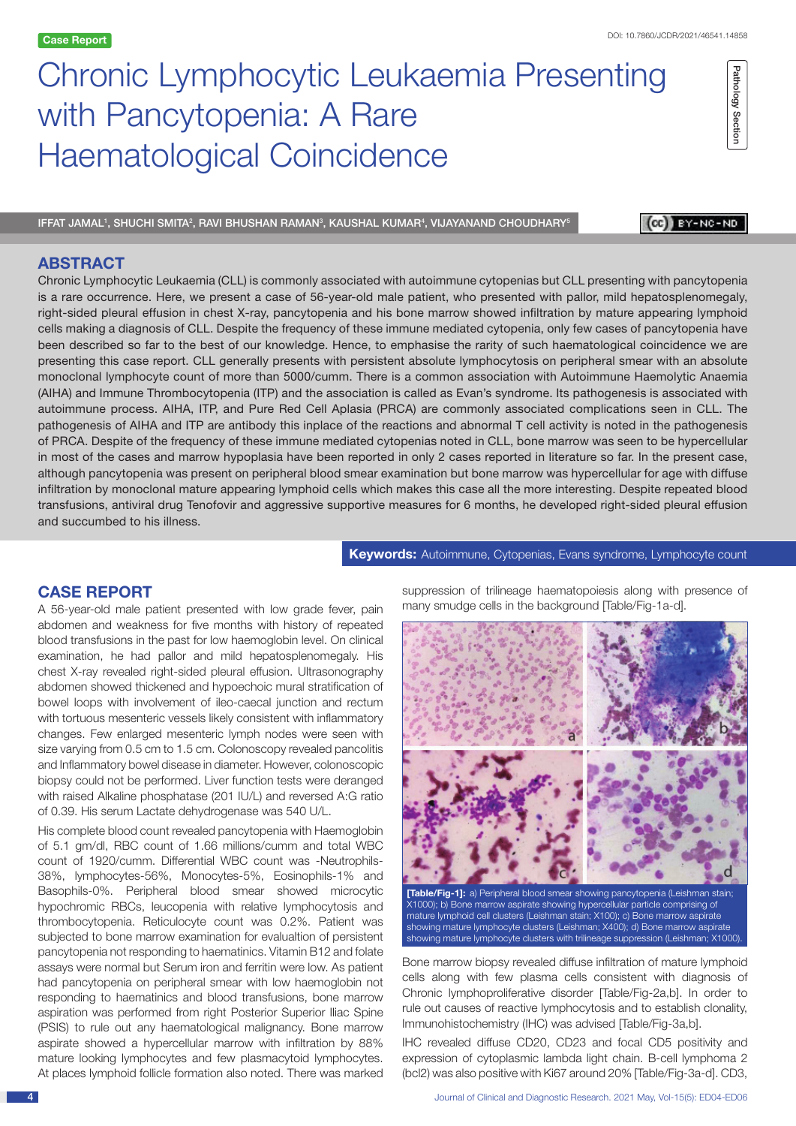# Chronic Lymphocytic Leukaemia Presenting with Pancytopenia: A Rare Haematological Coincidence

Pathology Section Pathology Section

IFFAT JAMAL', SHUCHI SMITA<sup>2</sup>, RAVI BHUSHAN RAMAN<sup>3</sup>, KAUSHAL KUMAR<sup>4</sup>, VIJAYANAND CHOUDHARY<sup>5</sup>

(CC) BY-NC-ND

## **Abstract**

Chronic Lymphocytic Leukaemia (CLL) is commonly associated with autoimmune cytopenias but CLL presenting with pancytopenia is a rare occurrence. Here, we present a case of 56-year-old male patient, who presented with pallor, mild hepatosplenomegaly, right-sided pleural effusion in chest X-ray, pancytopenia and his bone marrow showed infiltration by mature appearing lymphoid cells making a diagnosis of CLL. Despite the frequency of these immune mediated cytopenia, only few cases of pancytopenia have been described so far to the best of our knowledge. Hence, to emphasise the rarity of such haematological coincidence we are presenting this case report. CLL generally presents with persistent absolute lymphocytosis on peripheral smear with an absolute monoclonal lymphocyte count of more than 5000/cumm. There is a common association with Autoimmune Haemolytic Anaemia (AIHA) and Immune Thrombocytopenia (ITP) and the association is called as Evan's syndrome. Its pathogenesis is associated with autoimmune process. AIHA, ITP, and Pure Red Cell Aplasia (PRCA) are commonly associated complications seen in CLL. The pathogenesis of AIHA and ITP are antibody this inplace of the reactions and abnormal T cell activity is noted in the pathogenesis of PRCA. Despite of the frequency of these immune mediated cytopenias noted in CLL, bone marrow was seen to be hypercellular in most of the cases and marrow hypoplasia have been reported in only 2 cases reported in literature so far. In the present case, although pancytopenia was present on peripheral blood smear examination but bone marrow was hypercellular for age with diffuse infiltration by monoclonal mature appearing lymphoid cells which makes this case all the more interesting. Despite repeated blood transfusions, antiviral drug Tenofovir and aggressive supportive measures for 6 months, he developed right-sided pleural effusion and succumbed to his illness.

**Keywords:** Autoimmune, Cytopenias, Evans syndrome, Lymphocyte count

## **CASE REPORT**

A 56-year-old male patient presented with low grade fever, pain abdomen and weakness for five months with history of repeated blood transfusions in the past for low haemoglobin level. On clinical examination, he had pallor and mild hepatosplenomegaly. His chest X-ray revealed right-sided pleural effusion. Ultrasonography abdomen showed thickened and hypoechoic mural stratification of bowel loops with involvement of ileo-caecal junction and rectum with tortuous mesenteric vessels likely consistent with inflammatory changes. Few enlarged mesenteric lymph nodes were seen with size varying from 0.5 cm to 1.5 cm. Colonoscopy revealed pancolitis and Inflammatory bowel disease in diameter. However, colonoscopic biopsy could not be performed. Liver function tests were deranged with raised Alkaline phosphatase (201 IU/L) and reversed A:G ratio of 0.39. His serum Lactate dehydrogenase was 540 U/L.

His complete blood count revealed pancytopenia with Haemoglobin of 5.1 gm/dl, RBC count of 1.66 millions/cumm and total WBC count of 1920/cumm. Differential WBC count was -Neutrophils-38%, lymphocytes-56%, Monocytes-5%, Eosinophils-1% and Basophils-0%. Peripheral blood smear showed microcytic hypochromic RBCs, leucopenia with relative lymphocytosis and thrombocytopenia. Reticulocyte count was 0.2%. Patient was subjected to bone marrow examination for evalualtion of persistent pancytopenia not responding to haematinics. Vitamin B12 and folate assays were normal but Serum iron and ferritin were low. As patient had pancytopenia on peripheral smear with low haemoglobin not responding to haematinics and blood transfusions, bone marrow aspiration was performed from right Posterior Superior Iliac Spine (PSIS) to rule out any haematological malignancy. Bone marrow aspirate showed a hypercellular marrow with infiltration by 88% mature looking lymphocytes and few plasmacytoid lymphocytes. At places lymphoid follicle formation also noted. There was marked suppression of trilineage haematopoiesis along with presence of many smudge cells in the background [Table/Fig-1a-d].



X1000); b) Bone marrow aspirate showing hypercellular particle comprising of mature lymphoid cell clusters (Leishman stain; X100); c) Bone marrow aspirate showing mature lymphocyte clusters (Leishman; X400); d) Bone marrow aspirate showing mature lymphocyte clusters with trilineage suppression (Leishman; X1000).

Bone marrow biopsy revealed diffuse infiltration of mature lymphoid cells along with few plasma cells consistent with diagnosis of Chronic lymphoproliferative disorder [Table/Fig-2a,b]. In order to rule out causes of reactive lymphocytosis and to establish clonality, Immunohistochemistry (IHC) was advised [Table/Fig-3a,b].

IHC revealed diffuse CD20, CD23 and focal CD5 positivity and expression of cytoplasmic lambda light chain. B-cell lymphoma 2 (bcl2) was also positive with Ki67 around 20% [Table/Fig-3a-d]. CD3,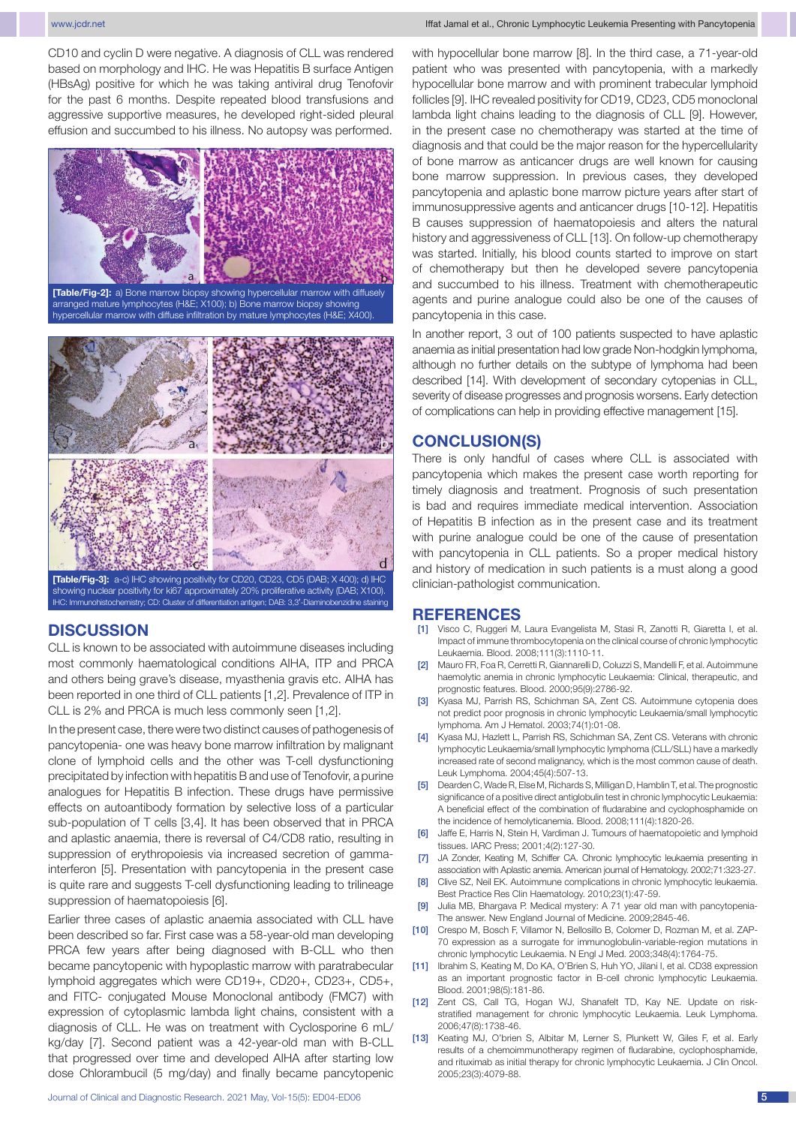CD10 and cyclin D were negative. A diagnosis of CLL was rendered based on morphology and IHC. He was Hepatitis B surface Antigen (HBsAg) positive for which he was taking antiviral drug Tenofovir for the past 6 months. Despite repeated blood transfusions and aggressive supportive measures, he developed right-sided pleural effusion and succumbed to his illness. No autopsy was performed.



hypercellular marrow with diffuse infiltration by mature lymphocytes (H&E; X400).



**[Table/Fig-3]:** a-c) IHC showing positivity for CD20, CD23, CD5 (DAB; X 400); d) IHC showing nuclear positivity for ki67 approximately 20% proliferative activity (DAB; X100). IHC: Immunohistochemistry; CD: Cluster of differentiation antigen; DAB: 3,3′-Diaminobenzidine staining

## **DISCUSSION**

CLL is known to be associated with autoimmune diseases including most commonly haematological conditions AIHA, ITP and PRCA and others being grave's disease, myasthenia gravis etc. AIHA has been reported in one third of CLL patients [1,2]. Prevalence of ITP in CLL is 2% and PRCA is much less commonly seen [1,2].

In the present case, there were two distinct causes of pathogenesis of pancytopenia- one was heavy bone marrow infiltration by malignant clone of lymphoid cells and the other was T-cell dysfunctioning precipitated by infection with hepatitis B and use of Tenofovir, a purine analogues for Hepatitis B infection. These drugs have permissive effects on autoantibody formation by selective loss of a particular sub-population of T cells [3,4]. It has been observed that in PRCA and aplastic anaemia, there is reversal of C4/CD8 ratio, resulting in suppression of erythropoiesis via increased secretion of gammainterferon [5]. Presentation with pancytopenia in the present case is quite rare and suggests T-cell dysfunctioning leading to trilineage suppression of haematopoiesis [6].

Earlier three cases of aplastic anaemia associated with CLL have been described so far. First case was a 58-year-old man developing PRCA few years after being diagnosed with B-CLL who then became pancytopenic with hypoplastic marrow with paratrabecular lymphoid aggregates which were CD19+, CD20+, CD23+, CD5+, and FITC- conjugated Mouse Monoclonal antibody (FMC7) with expression of cytoplasmic lambda light chains, consistent with a diagnosis of CLL. He was on treatment with Cyclosporine 6 mL/ kg/day [7]. Second patient was a 42-year-old man with B-CLL that progressed over time and developed AIHA after starting low dose Chlorambucil (5 mg/day) and finally became pancytopenic with hypocellular bone marrow [8]. In the third case, a 71-year-old patient who was presented with pancytopenia, with a markedly hypocellular bone marrow and with prominent trabecular lymphoid follicles [9]. IHC revealed positivity for CD19, CD23, CD5 monoclonal lambda light chains leading to the diagnosis of CLL [9]. However, in the present case no chemotherapy was started at the time of diagnosis and that could be the major reason for the hypercellularity of bone marrow as anticancer drugs are well known for causing bone marrow suppression. In previous cases, they developed pancytopenia and aplastic bone marrow picture years after start of immunosuppressive agents and anticancer drugs [10-12]. Hepatitis B causes suppression of haematopoiesis and alters the natural history and aggressiveness of CLL [13]. On follow-up chemotherapy was started. Initially, his blood counts started to improve on start of chemotherapy but then he developed severe pancytopenia and succumbed to his illness. Treatment with chemotherapeutic agents and purine analogue could also be one of the causes of pancytopenia in this case.

In another report, 3 out of 100 patients suspected to have aplastic anaemia as initial presentation had low grade Non-hodgkin lymphoma, although no further details on the subtype of lymphoma had been described [14]. With development of secondary cytopenias in CLL, severity of disease progresses and prognosis worsens. Early detection of complications can help in providing effective management [15].

### **CONCLUSION(S)**

There is only handful of cases where CLL is associated with pancytopenia which makes the present case worth reporting for timely diagnosis and treatment. Prognosis of such presentation is bad and requires immediate medical intervention. Association of Hepatitis B infection as in the present case and its treatment with purine analogue could be one of the cause of presentation with pancytopenia in CLL patients. So a proper medical history and history of medication in such patients is a must along a good clinician-pathologist communication.

#### **REFERENCES**

- [1] Visco C, Ruggeri M, Laura Evangelista M, Stasi R, Zanotti R, Giaretta I, et al. Impact of immune thrombocytopenia on the clinical course of chronic lymphocytic Leukaemia. Blood. 2008;111(3):1110-11.
- [2] Mauro FR, Foa R, Cerretti R, Giannarelli D, Coluzzi S, Mandelli F, et al. Autoimmune haemolytic anemia in chronic lymphocytic Leukaemia: Clinical, therapeutic, and prognostic features. Blood. 2000;95(9):2786-92.
- Kyasa MJ, Parrish RS, Schichman SA, Zent CS. Autoimmune cytopenia does not predict poor prognosis in chronic lymphocytic Leukaemia/small lymphocytic lymphoma. Am J Hematol. 2003;74(1):01-08.
- [4] Kyasa MJ, Hazlett L, Parrish RS, Schichman SA, Zent CS. Veterans with chronic lymphocytic Leukaemia/small lymphocytic lymphoma (CLL/SLL) have a markedly increased rate of second malignancy, which is the most common cause of death. Leuk Lymphoma. 2004;45(4):507-13.
- [5] Dearden C, Wade R, Else M, Richards S, Milligan D, Hamblin T, et al. The prognostic significance of a positive direct antiglobulin test in chronic lymphocytic Leukaemia: A beneficial effect of the combination of fludarabine and cyclophosphamide on the incidence of hemolyticanemia. Blood. 2008;111(4):1820-26.
- [6] Jaffe E, Harris N, Stein H, Vardiman J. Tumours of haematopoietic and lymphoid tissues. IARC Press; 2001;4(2):127-30.
- [7] JA Zonder, Keating M, Schiffer CA. Chronic lymphocytic leukaemia presenting in association with Aplastic anemia. American journal of Hematology. 2002;71:323-27.
- [8] Clive SZ, Neil EK. Autoimmune complications in chronic lymphocytic leukaemia. Best Practice Res Clin Haematology. 2010;23(1):47-59.
- [9] Julia MB, Bhargava P. Medical mystery: A 71 year old man with pancytopenia-The answer. New England Journal of Medicine. 2009;2845-46.
- [10] Crespo M, Bosch F, Villamor N, Bellosillo B, Colomer D, Rozman M, et al. ZAP-70 expression as a surrogate for immunoglobulin-variable-region mutations in chronic lymphocytic Leukaemia. N Engl J Med. 2003;348(4):1764-75.
- [11] Ibrahim S, Keating M, Do KA, O'Brien S, Huh YO, Jilani I, et al. CD38 expression as an important prognostic factor in B-cell chronic lymphocytic Leukaemia. Blood. 2001;98(5):181-86.
- [12] Zent CS, Call TG, Hogan WJ, Shanafelt TD, Kay NE. Update on riskstratified management for chronic lymphocytic Leukaemia. Leuk Lymphoma. 2006;47(8):1738-46.
- [13] Keating MJ, O'brien S, Albitar M, Lerner S, Plunkett W, Giles F, et al. Early results of a chemoimmunotherapy regimen of fludarabine, cyclophosphamide, and rituximab as initial therapy for chronic lymphocytic Leukaemia. J Clin Oncol. 2005;23(3):4079-88.